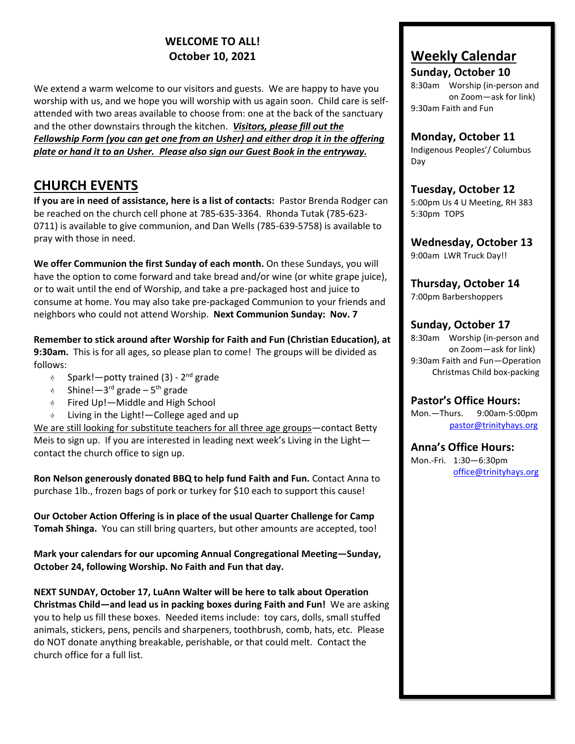# **WELCOME TO ALL! October 10, 2021**

We extend a warm welcome to our visitors and guests. We are happy to have you worship with us, and we hope you will worship with us again soon. Child care is selfattended with two areas available to choose from: one at the back of the sanctuary and the other downstairs through the kitchen. *Visitors, please fill out the Fellowship Form (you can get one from an Usher) and either drop it in the offering plate or hand it to an Usher. Please also sign our Guest Book in the entryway.* 

# **CHURCH EVENTS**

**If you are in need of assistance, here is a list of contacts:** Pastor Brenda Rodger can be reached on the church cell phone at 785-635-3364. Rhonda Tutak (785-623- 0711) is available to give communion, and Dan Wells (785-639-5758) is available to pray with those in need.

**We offer Communion the first Sunday of each month.** On these Sundays, you will have the option to come forward and take bread and/or wine (or white grape juice), or to wait until the end of Worship, and take a pre-packaged host and juice to consume at home. You may also take pre-packaged Communion to your friends and neighbors who could not attend Worship. **Next Communion Sunday: Nov. 7**

**Remember to stick around after Worship for Faith and Fun (Christian Education), at 9:30am.** This is for all ages, so please plan to come! The groups will be divided as follows:

- $\delta$ Spark!—potty trained (3) - 2<sup>nd</sup> grade
- $\delta$ Shine!—3<sup>rd</sup> grade – 5<sup>th</sup> grade
- Fired Up!—Middle and High School  $\delta$
- Living in the Light!—College aged and up

We are still looking for substitute teachers for all three age groups—contact Betty Meis to sign up. If you are interested in leading next week's Living in the Light contact the church office to sign up.

**Ron Nelson generously donated BBQ to help fund Faith and Fun.** Contact Anna to purchase 1lb., frozen bags of pork or turkey for \$10 each to support this cause!

**Our October Action Offering is in place of the usual Quarter Challenge for Camp Tomah Shinga.** You can still bring quarters, but other amounts are accepted, too!

**Mark your calendars for our upcoming Annual Congregational Meeting—Sunday, October 24, following Worship. No Faith and Fun that day.**

**NEXT SUNDAY, October 17, LuAnn Walter will be here to talk about Operation Christmas Child—and lead us in packing boxes during Faith and Fun!** We are asking you to help us fill these boxes. Needed items include: toy cars, dolls, small stuffed animals, stickers, pens, pencils and sharpeners, toothbrush, comb, hats, etc. Please do NOT donate anything breakable, perishable, or that could melt. Contact the church office for a full list.

# **Weekly Calendar**

**Sunday, October 10** 8:30am Worship (in-person and on Zoom—ask for link) 9:30am Faith and Fun

### **Monday, October 11**

Indigenous Peoples'/ Columbus Day

**Tuesday, October 12** 5:00pm Us 4 U Meeting, RH 383 5:30pm TOPS

**Wednesday, October 13** 9:00am LWR Truck Day!!

**Thursday, October 14** 7:00pm Barbershoppers

## **Sunday, October 17**

8:30am Worship (in-person and on Zoom—ask for link) 9:30am Faith and Fun—Operation Christmas Child box-packing

**Pastor's Office Hours:** Mon.—Thurs. 9:00am-5:00pm [pastor@trinityhays.org](mailto:pastor@trinityhays.org)

**Anna's Office Hours:** Mon.-Fri. 1:30—6:30pm [office@trinityhays.org](mailto:office@trinityhays.org)